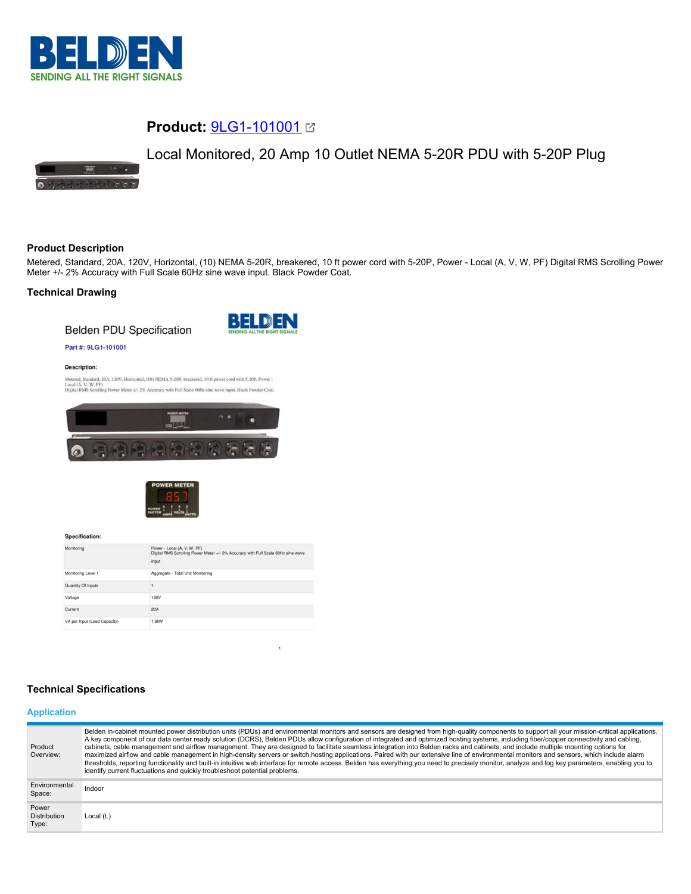

# **Product:** [9LG1-101001](https://catalog.belden.com/index.cfm?event=pd&p=PF_9LG1101001&tab=downloads)

# Local Monitored, 20 Amp 10 Outlet NEMA 5-20R PDU with 5-20P Plug



# **Product Description**

Metered, Standard, 20A, 120V, Horizontal, (10) NEMA 5-20R, breakered, 10 ft power cord with 5-20P, Power - Local (A, V, W, PF) Digital RMS Scrolling Power Meter +/- 2% Accuracy with Full Scale 60Hz sine wave input. Black Powder Coat.

## **Technical Drawing**

**Belden PDU Specification** 



#### Part #: 9LG1-101001

#### Description:

Metered, Standard, 20A, 120V, Horizontal, (10) NEMA 5-20R, breakered, 10 ft power cord with 5-20P, Power -<br>Local (A, V, W, PF)<br>Digital RMS Scrolling Power Meter +/- 2% Accuracy with Full Scale 60Hz sine wave input. Black P





Specification:

| Monitoring                   | Power - Local (A, V, W, PF)<br>Digital RMS Scrolling Power Meter +/- 2% Accuracy with Full Scale 60Hz sine wave<br>input |
|------------------------------|--------------------------------------------------------------------------------------------------------------------------|
| Monitoring Level 1           | Aggregate - Total Unit Monitoring                                                                                        |
| Quantity Of Inputs           |                                                                                                                          |
| Voltage                      | 120V                                                                                                                     |
| Current                      | <b>20A</b>                                                                                                               |
| VA per Input (Load Capacity) | 1.9kW                                                                                                                    |

# **Technical Specifications**

#### **Application**

| Product<br>Overview:                  | Belden in-cabinet mounted power distribution units (PDUs) and environmental monitors and sensors are designed from high-quality components to support all your mission-critical applications.<br>A key component of our data center ready solution (DCRS), Belden PDUs allow configuration of integrated and optimized hosting systems, including fiber/copper connectivity and cabling,<br>cabinets, cable management and airflow management. They are designed to facilitate seamless integration into Belden racks and cabinets, and include multiple mounting options for<br>maximized airflow and cable management in high-density servers or switch hosting applications. Paired with our extensive line of environmental monitors and sensors, which include alarm<br>thresholds, reporting functionality and built-in intuitive web interface for remote access. Belden has everything you need to precisely monitor, analyze and log key parameters, enabling you to<br>identify current fluctuations and quickly troubleshoot potential problems. |
|---------------------------------------|-------------------------------------------------------------------------------------------------------------------------------------------------------------------------------------------------------------------------------------------------------------------------------------------------------------------------------------------------------------------------------------------------------------------------------------------------------------------------------------------------------------------------------------------------------------------------------------------------------------------------------------------------------------------------------------------------------------------------------------------------------------------------------------------------------------------------------------------------------------------------------------------------------------------------------------------------------------------------------------------------------------------------------------------------------------|
| Environmental<br>Space:               | Indoor                                                                                                                                                                                                                                                                                                                                                                                                                                                                                                                                                                                                                                                                                                                                                                                                                                                                                                                                                                                                                                                      |
| Power<br><b>Distribution</b><br>Type: | Local $(L)$                                                                                                                                                                                                                                                                                                                                                                                                                                                                                                                                                                                                                                                                                                                                                                                                                                                                                                                                                                                                                                                 |